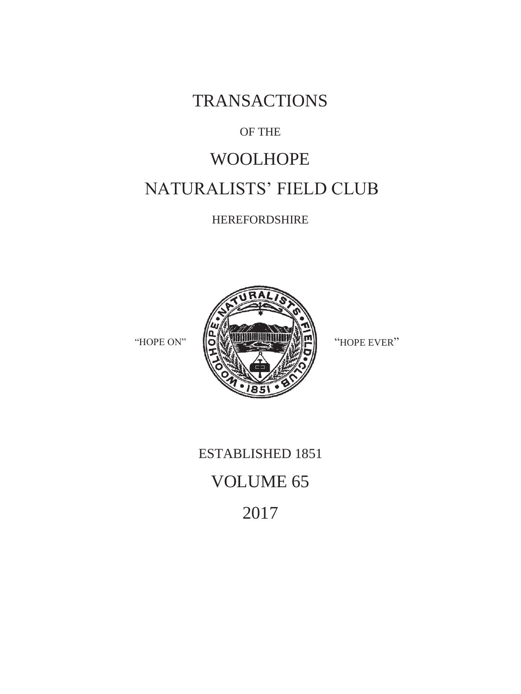TRANSACTIONS

## OF THE

# WOOLHOPE NATURALISTS' FIELD CLUB

HEREFORDSHIRE



ESTABLISHED 1851 VOLUME 65 2017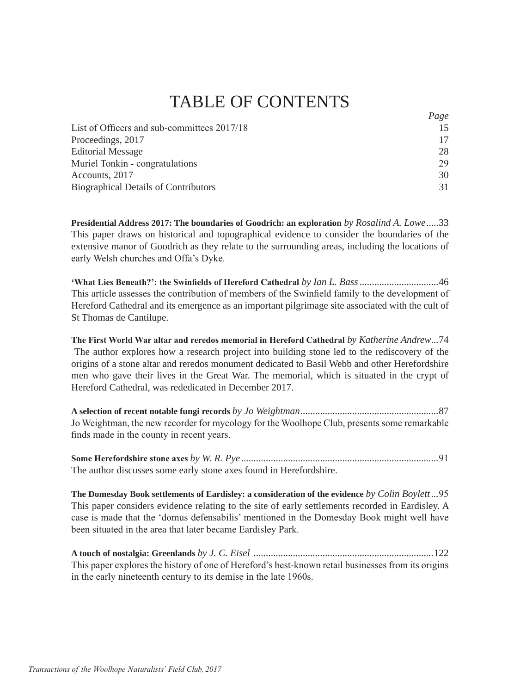# TABLE OF CONTENTS

*Page*

| $1 \, u \, \kappa$ |
|--------------------|
| 15                 |
| 17                 |
| 28                 |
| 29                 |
| 30                 |
| 31                 |
|                    |

**Presidential Address 2017: The boundaries of Goodrich: an exploration** *by Rosalind A. Lowe* .....33 This paper draws on historical and topographical evidence to consider the boundaries of the extensive manor of Goodrich as they relate to the surrounding areas, including the locations of early Welsh churches and Offa's Dyke.

**µ:KDW/LHV%HQHDWK"¶WKH6ZLQ¿HOGVRI+HUHIRUG&DWKHGUDO** *by Ian L. Bass ................................*46 This article assesses the contribution of members of the Swinfield family to the development of Hereford Cathedral and its emergence as an important pilgrimage site associated with the cult of St Thomas de Cantilupe.

The First World War altar and reredos memorial in Hereford Cathedral by Katherine Andrew...74 The author explores how a research project into building stone led to the rediscovery of the origins of a stone altar and reredos monument dedicated to Basil Webb and other Herefordshire men who gave their lives in the Great War. The memorial, which is situated in the crypt of Hereford Cathedral, was rededicated in December 2017.

**A selection of recent notable fungi records** *by Jo Weightman ........................................................*87 Jo Weightman, the new recorder for mycology for the Woolhope Club, presents some remarkable finds made in the county in recent years.

**6RPH+HUHIRUGVKLUHVWRQHD[HV***by W. R. Pye ................................................................................* The author discusses some early stone axes found in Herefordshire.

**The Domesday Book settlements of Eardisley: a consideration of the evidence** *by Colin Boylett ...* This paper considers evidence relating to the site of early settlements recorded in Eardisley. A case is made that the 'domus defensabilis' mentioned in the Domesday Book might well have been situated in the area that later became Eardisley Park.

**A touch of nostalgia: Greenlands** *by J. C. Eisel .........................................................................*122 This paper explores the history of one of Hereford's best-known retail businesses from its origins in the early nineteenth century to its demise in the late 1960s.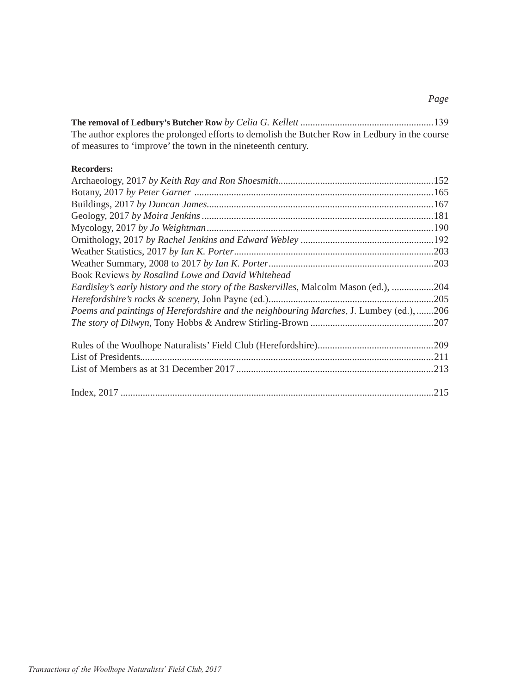**The removal of Ledbury's Butcher Row** *by Celia G. Kellett ......................................................* The author explores the prolonged efforts to demolish the Butcher Row in Ledbury in the course of measures to 'improve' the town in the nineteenth century.

#### **Recorders:**

| Book Reviews by Rosalind Lowe and David Whitehead                                       |  |
|-----------------------------------------------------------------------------------------|--|
| Eardisley's early history and the story of the Baskervilles, Malcolm Mason (ed.), 204   |  |
|                                                                                         |  |
| Poems and paintings of Herefordshire and the neighbouring Marches, J. Lumbey (ed.), 206 |  |
|                                                                                         |  |
|                                                                                         |  |
|                                                                                         |  |
|                                                                                         |  |
|                                                                                         |  |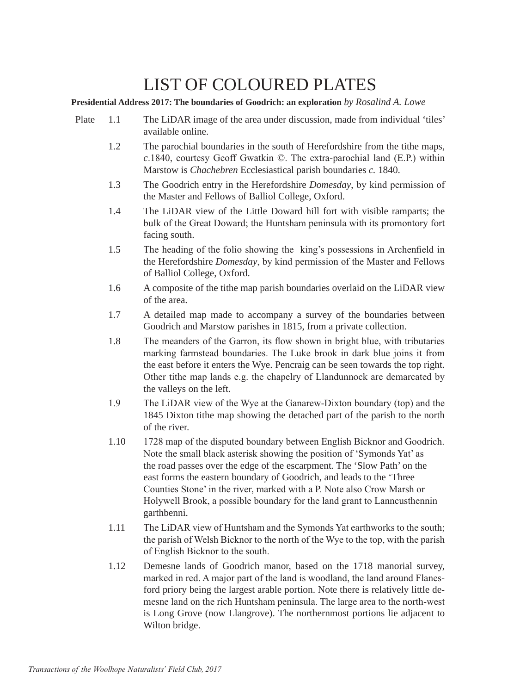# LIST OF COLOURED PLATES

**Presidential Address 2017: The boundaries of Goodrich: an exploration** *by Rosalind A. Lowe*

- Plate 1.1 The LiDAR image of the area under discussion, made from individual 'tiles' available online.
	- 1.2 The parochial boundaries in the south of Herefordshire from the tithe maps,  $c$ .1840, courtesy Geoff Gwatkin  $\odot$ . The extra-parochial land (E.P.) within Marstow is *Chachebren* Ecclesiastical parish boundaries *c.* 1840.
	- 1.3 The Goodrich entry in the Herefordshire *Domesday*, by kind permission of the Master and Fellows of Balliol College, Oxford.
	- 1.4 The LiDAR view of the Little Doward hill fort with visible ramparts; the bulk of the Great Doward; the Huntsham peninsula with its promontory fort facing south.
	- 1.5 The heading of the folio showing the king's possessions in Archenfield in the Herefordshire *Domesday*, by kind permission of the Master and Fellows of Balliol College, Oxford.
	- 1.6 A composite of the tithe map parish boundaries overlaid on the LiDAR view of the area.
	- 1.7 A detailed map made to accompany a survey of the boundaries between Goodrich and Marstow parishes in 1815, from a private collection.
	- 1.8 The meanders of the Garron, its flow shown in bright blue, with tributaries marking farmstead boundaries. The Luke brook in dark blue joins it from the east before it enters the Wye. Pencraig can be seen towards the top right. Other tithe map lands e.g. the chapelry of Llandunnock are demarcated by the valleys on the left.
	- 1.9 The LiDAR view of the Wye at the Ganarew-Dixton boundary (top) and the 1845 Dixton tithe map showing the detached part of the parish to the north of the river.
	- 1.10 1728 map of the disputed boundary between English Bicknor and Goodrich. Note the small black asterisk showing the position of 'Symonds Yat' as the road passes over the edge of the escarpment. The 'Slow Path' on the east forms the eastern boundary of Goodrich, and leads to the 'Three Counties Stone' in the river, marked with a P. Note also Crow Marsh or Holywell Brook, a possible boundary for the land grant to Lanncusthennin garthbenni.
	- 1.11 The LiDAR view of Huntsham and the Symonds Yat earthworks to the south; the parish of Welsh Bicknor to the north of the Wye to the top, with the parish of English Bicknor to the south.
	- 1.12 Demesne lands of Goodrich manor, based on the 1718 manorial survey, marked in red. A major part of the land is woodland, the land around Flanesford priory being the largest arable portion. Note there is relatively little de mesne land on the rich Huntsham peninsula. The large area to the north-west is Long Grove (now Llangrove). The northernmost portions lie adjacent to Wilton bridge.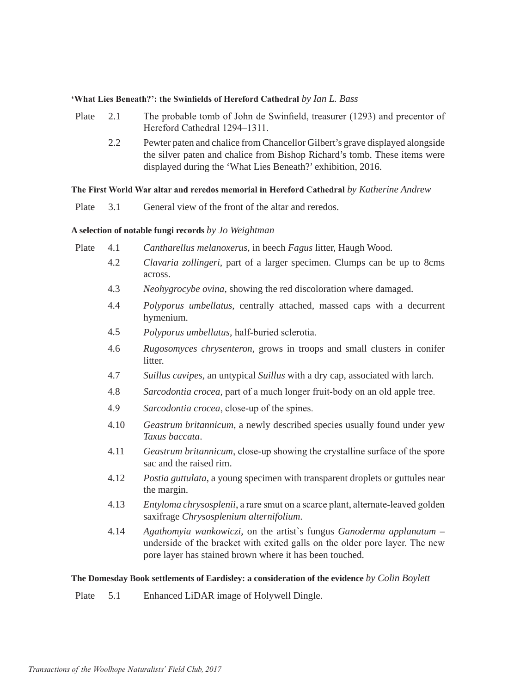#### **What Lies Beneath?': the Swinfields of Hereford Cathedral** by Ian L. Bass<sup>*i*</sup>

- Plate 2.1 The probable tomb of John de Swinfield, treasurer (1293) and precentor of Hereford Cathedral 1294–1311.
	- 2.2 Pewter paten and chalice from Chancellor Gilbert's grave displayed alongside the silver paten and chalice from Bishop Richard's tomb. These items were displayed during the 'What Lies Beneath?' exhibition, 2016.

#### **The First World War altar and reredos memorial in Hereford Cathedral by Katherine Andrew**

Plate 3.1 General view of the front of the altar and reredos.

#### **A selection of notable fungi records** *by Jo Weightman*

- Plate 4.1 *Cantharellus melanoxerus,* in beech *Fagus* litter, Haugh Wood.
	- 4.2 *Clavaria zollingeri,* part of a larger specimen. Clumps can be up to 8cms across.
	- 4.3 *Neohygrocybe ovina,* showing the red discoloration where damaged.
	- 4.4 *Polyporus umbellatus,* centrally attached*,* massed caps with a decurrent hymenium.
	- 4.5 Polyporus umbellatus, half-buried sclerotia.
	- 4.6 *Rugosomyces chrysenteron,* grows in troops and small clusters in conifer litter.
	- 4.7 *Suillus cavipes,* an untypical *Suillus* with a dry cap, associated with larch.
	- 4.8 *Sarcodontia crocea*, part of a much longer fruit-body on an old apple tree.
	- 4.9 Sarcodontia crocea, close-up of the spines.
	- 4.10 *Geastrum britannicum*, a newly described species usually found under yew *Taxus baccata*.
	- 4.11 *Geastrum britannicum*, close-up showing the crystalline surface of the spore sac and the raised rim.
	- 4.12 *Postia guttulata*, a young specimen with transparent droplets or guttules near the margin.
	- 4.13 *Entyloma chrysosplenii*, a rare smut on a scarce plant, alternate-leaved golden saxifrage *Chrysosplenium alternifolium*.
	- 4.14 *Agathomyia wankowiczi*, on the artist`s fungus *Ganoderma applanatum*  underside of the bracket with exited galls on the older pore layer. The new pore layer has stained brown where it has been touched.

#### **The Domesday Book settlements of Eardisley: a consideration of the evidence** *by Colin Boylett*

Plate 5.1 Enhanced LiDAR image of Holywell Dingle.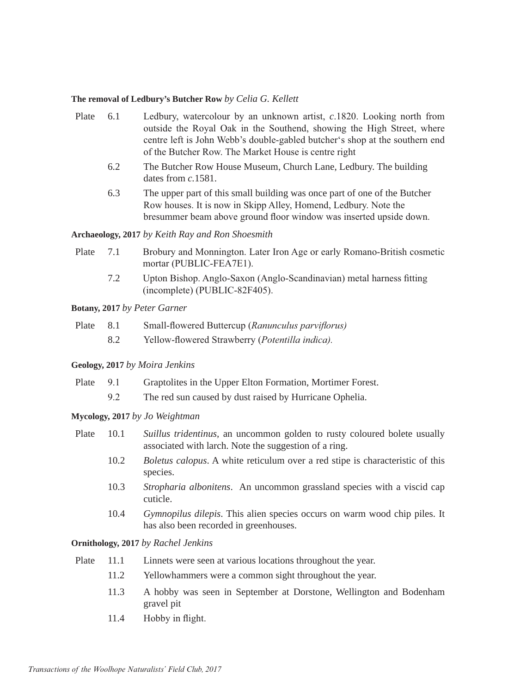#### **The removal of Ledbury's Butcher Row** *by Celia G. Kellett*

- Plate 6.1 Ledbury, watercolour by an unknown artist, c.1820. Looking north from outside the Royal Oak in the Southend, showing the High Street, where centre left is John Webb's double-gabled butcher's shop at the southern end of the Butcher Row. The Market House is centre right
	- 6.2 The Butcher Row House Museum, Church Lane, Ledbury. The building dates from *c.*1581.
	- 6.3 The upper part of this small building was once part of one of the Butcher Row houses. It is now in Skipp Alley, Homend, Ledbury, Note the bresummer beam above ground floor window was inserted upside down.

#### **Archaeology, 2017** *by Keith Ray and Ron Shoesmith*

- Plate 7.1 Brobury and Monnington. Later Iron Age or early Romano-British cosmetic mortar (PUBLIC-FEA7E1).
	- 7.2 Upton Bishop. Anglo-Saxon (Anglo-Scandinavian) metal harness fitting  $(incomplete)$  (PUBLIC-82F405).

#### **Botany, 2017** *by Peter Garner*

- Plate 8.1 **5PD** Small-flowered Buttercup (*Ranunculus parviflorus*)
	- 8.2 Yellow-flowered Strawberry (Potentilla indica).

#### **Geology, 2017** *by Moira Jenkins*

- Plate 9.1 Graptolites in the Upper Elton Formation, Mortimer Forest.
	- 9.2 The red sun caused by dust raised by Hurricane Ophelia.

#### **Mycology, 2017** *by Jo Weightman*

- Plate 10.1 *Suillus tridentinus,* an uncommon golden to rusty coloured bolete usually associated with larch. Note the suggestion of a ring.
	- 10.2 *Boletus calopus*. A white reticulum over a red stipe is characteristic of this species.
	- 10.3 *Stropharia albonitens*. An uncommon grassland species with a viscid cap cuticle.
	- 10.4 *Gymnopilus dilepis*. This alien species occurs on warm wood chip piles. It has also been recorded in greenhouses.

#### **Ornithology, 2017** *by Rachel Jenkins*

- Plate 11.1 Linnets were seen at various locations throughout the year.
	- 11.2 Yellowhammers were a common sight throughout the year.
	- 11.3 A hobby was seen in September at Dorstone, Wellington and Bodenham gravel pit
	- $11.4$  Hobby in flight.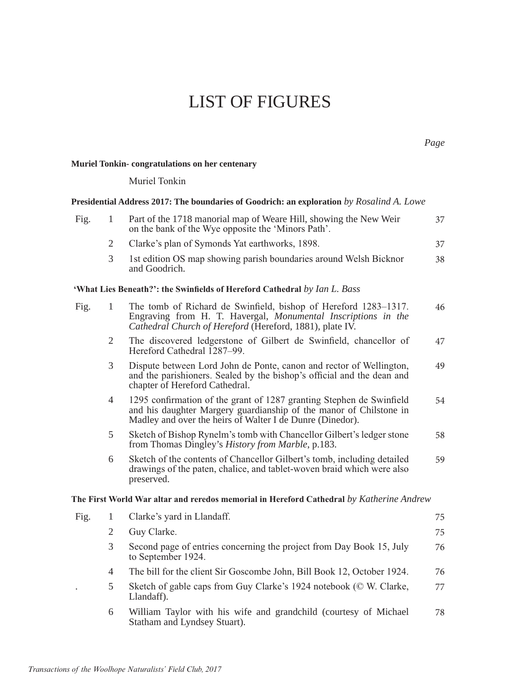# LIST OF FIGURES

### **Muriel Tonkin- congratulations on her centenary**

Muriel Tonkin

|      |                | Presidential Address 2017: The boundaries of Goodrich: an exploration by Rosalind A. Lowe                                                                                                               |    |
|------|----------------|---------------------------------------------------------------------------------------------------------------------------------------------------------------------------------------------------------|----|
| Fig. | 1              | Part of the 1718 manorial map of Weare Hill, showing the New Weir<br>on the bank of the Wye opposite the 'Minors Path'.                                                                                 | 37 |
|      | 2              | Clarke's plan of Symonds Yat earthworks, 1898.                                                                                                                                                          | 37 |
|      | 3              | 1st edition OS map showing parish boundaries around Welsh Bicknor<br>and Goodrich.                                                                                                                      | 38 |
|      |                | 'What Lies Beneath?': the Swinfields of Hereford Cathedral by Ian L. Bass                                                                                                                               |    |
| Fig. | 1              | The tomb of Richard de Swinfield, bishop of Hereford 1283–1317.<br>Engraving from H. T. Havergal, Monumental Inscriptions in the<br>Cathedral Church of Hereford (Hereford, 1881), plate IV.            | 46 |
|      | 2              | The discovered ledgerstone of Gilbert de Swinfield, chancellor of<br>Hereford Cathedral 1287-99.                                                                                                        | 47 |
|      | 3              | Dispute between Lord John de Ponte, canon and rector of Wellington,<br>and the parishioners. Sealed by the bishop's official and the dean and<br>chapter of Hereford Cathedral.                         | 49 |
|      | 4              | 1295 confirmation of the grant of 1287 granting Stephen de Swinfield<br>and his daughter Margery guardianship of the manor of Chilstone in<br>Madley and over the heirs of Walter I de Dunre (Dinedor). | 54 |
|      | 5              | Sketch of Bishop Rynelm's tomb with Chancellor Gilbert's ledger stone<br>from Thomas Dingley's History from Marble, p.183.                                                                              | 58 |
|      | 6              | Sketch of the contents of Chancellor Gilbert's tomb, including detailed<br>drawings of the paten, chalice, and tablet-woven braid which were also<br>preserved.                                         | 59 |
|      |                | The First World War altar and reredos memorial in Hereford Cathedral by Katherine Andrew                                                                                                                |    |
| Fig. | 1              | Clarke's yard in Llandaff.                                                                                                                                                                              | 75 |
|      | 2              | Guy Clarke.                                                                                                                                                                                             | 75 |
|      | 3              | Second page of entries concerning the project from Day Book 15, July<br>to September 1924.                                                                                                              | 76 |
|      | $\overline{4}$ | The bill for the client Sir Goscombe John, Bill Book 12, October 1924.                                                                                                                                  | 76 |
|      | 5              | Sketch of gable caps from Guy Clarke's 1924 notebook (© W. Clarke,<br>Llandaff).                                                                                                                        | 77 |
|      | 6              | William Taylor with his wife and grandchild (courtesy of Michael<br>Statham and Lyndsey Stuart).                                                                                                        | 78 |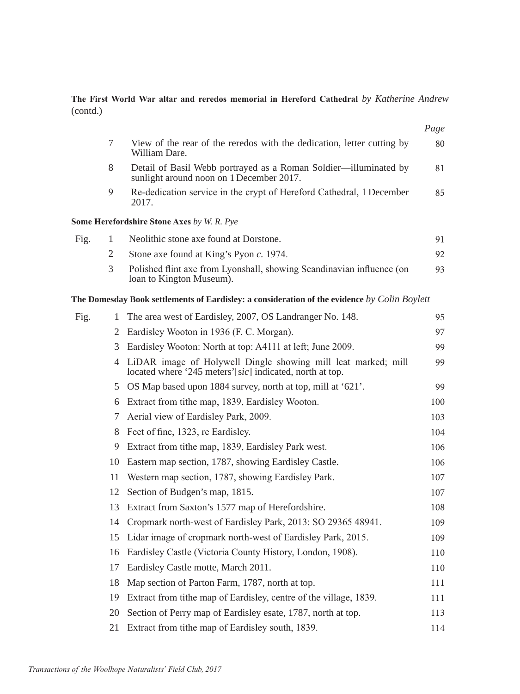### The First World War altar and reredos memorial in Hereford Cathedral by Katherine Andrew (contd.)

|      |                |                                                                                                                             | Page |
|------|----------------|-----------------------------------------------------------------------------------------------------------------------------|------|
|      | 7              | View of the rear of the reredos with the dedication, letter cutting by<br>William Dare.                                     | 80   |
|      | 8              | Detail of Basil Webb portrayed as a Roman Soldier-illuminated by<br>sunlight around noon on 1 December 2017.                | 81   |
|      | 9              | Re-dedication service in the crypt of Hereford Cathedral, 1 December<br>2017.                                               | 85   |
|      |                | Some Herefordshire Stone Axes by W. R. Pye                                                                                  |      |
| Fig. | 1              | Neolithic stone axe found at Dorstone.                                                                                      | 91   |
|      | $\overline{2}$ | Stone axe found at King's Pyon c. 1974.                                                                                     | 92   |
|      | 3              | Polished flint axe from Lyonshall, showing Scandinavian influence (on<br>loan to Kington Museum).                           | 93   |
|      |                | <b>The Domesday Book settlements of Eardisley: a consideration of the evidence by Colin Boylett</b>                         |      |
| Fig. | 1              | The area west of Eardisley, 2007, OS Landranger No. 148.                                                                    | 95   |
|      | 2              | Eardisley Wooton in 1936 (F. C. Morgan).                                                                                    | 97   |
|      | 3              | Eardisley Wooton: North at top: A4111 at left; June 2009.                                                                   | 99   |
|      |                | 4 LiDAR image of Holywell Dingle showing mill leat marked; mill<br>located where '245 meters'[sic] indicated, north at top. | 99   |
|      |                | 5 OS Map based upon 1884 survey, north at top, mill at '621'.                                                               | 99   |
|      |                | 6 Extract from tithe map, 1839, Eardisley Wooton.                                                                           | 100  |
|      | 7              | Aerial view of Eardisley Park, 2009.                                                                                        | 103  |
|      | 8              | Feet of fine, 1323, re Eardisley.                                                                                           | 104  |
|      | 9              | Extract from tithe map, 1839, Eardisley Park west.                                                                          | 106  |
|      | 10             | Eastern map section, 1787, showing Eardisley Castle.                                                                        | 106  |
|      | 11             | Western map section, 1787, showing Eardisley Park.                                                                          | 107  |
|      | 12             | Section of Budgen's map, 1815.                                                                                              | 107  |
|      | 13             | Extract from Saxton's 1577 map of Herefordshire.                                                                            | 108  |
|      | 14             | Cropmark north-west of Eardisley Park, 2013: SO 29365 48941.                                                                | 109  |
|      | 15             | Lidar image of cropmark north-west of Eardisley Park, 2015.                                                                 | 109  |
|      | 16             | Eardisley Castle (Victoria County History, London, 1908).                                                                   | 110  |
|      | 17             | Eardisley Castle motte, March 2011.                                                                                         | 110  |
|      | 18             | Map section of Parton Farm, 1787, north at top.                                                                             | 111  |
|      | 19             | Extract from tithe map of Eardisley, centre of the village, 1839.                                                           | 111  |
|      | 20             | Section of Perry map of Eardisley esate, 1787, north at top.                                                                | 113  |
|      | 21             | Extract from tithe map of Eardisley south, 1839.                                                                            | 114  |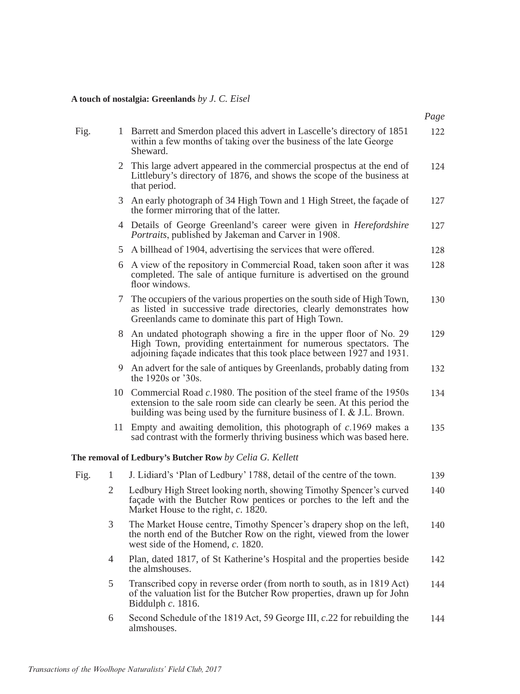#### **A touch of nostalgia: Greenlands** *by J. C. Eisel*

| Barrett and Smerdon placed this advert in Lascelle's directory of 1851<br>Fig.<br>within a few months of taking over the business of the late George<br>Sheward.                                                 | 122<br>124 |
|------------------------------------------------------------------------------------------------------------------------------------------------------------------------------------------------------------------|------------|
|                                                                                                                                                                                                                  |            |
| 2 This large advert appeared in the commercial prospectus at the end of<br>Littlebury's directory of 1876, and shows the scope of the business at<br>that period.                                                |            |
| 3 An early photograph of 34 High Town and 1 High Street, the façade of<br>the former mirroring that of the latter.                                                                                               | 127        |
| 4 Details of George Greenland's career were given in <i>Herefordshire</i><br>Portraits, published by Jakeman and Carver in 1908.                                                                                 | 127        |
| 5 A billhead of 1904, advertising the services that were offered.                                                                                                                                                | 128        |
| A view of the repository in Commercial Road, taken soon after it was<br>6<br>completed. The sale of antique furniture is advertised on the ground<br>floor windows.                                              | 128        |
| 7 The occupiers of the various properties on the south side of High Town,<br>as listed in successive trade directories, clearly demonstrates how<br>Greenlands came to dominate this part of High Town.          | 130        |
| 8 An undated photograph showing a fire in the upper floor of No. 29<br>High Town, providing entertainment for numerous spectators. The<br>adjoining façade indicates that this took place between 1927 and 1931. | 129        |
| 9 An advert for the sale of antiques by Greenlands, probably dating from<br>the 1920s or $30s$ .                                                                                                                 | 132        |

- 10 Commercial Road *c*.1980. The position of the steel frame of the 1950s extension to the sale room side can clearly be seen. At this period the building was being used by the furniture business of I. & J.L. Brown. 134
- 11 Empty and awaiting demolition, this photograph of *c*.1969 makes a sad contrast with the formerly thriving business which was based here. 135

### **The removal of Ledbury's Butcher Row** *by Celia G. Kellett*

| Fig. |                | J. Lidiard's 'Plan of Ledbury' 1788, detail of the centre of the town.                                                                                                            | 139 |
|------|----------------|-----------------------------------------------------------------------------------------------------------------------------------------------------------------------------------|-----|
|      | 2              | Ledbury High Street looking north, showing Timothy Spencer's curved<br>façade with the Butcher Row pentices or porches to the left and the<br>Market House to the right, c. 1820. | 140 |
|      | 3              | The Market House centre, Timothy Spencer's drapery shop on the left,<br>the north end of the Butcher Row on the right, viewed from the lower<br>west side of the Homend, c. 1820. | 140 |
|      | $\overline{4}$ | Plan, dated 1817, of St Katherine's Hospital and the properties beside<br>the almshouses.                                                                                         | 142 |
|      | 5              | Transcribed copy in reverse order (from north to south, as in 1819 Act)<br>of the valuation list for the Butcher Row properties, drawn up for John<br>Biddulph $c. 1816$ .        | 144 |
|      | 6              | Second Schedule of the 1819 Act, 59 George III, c.22 for rebuilding the<br>almshouses.                                                                                            | 144 |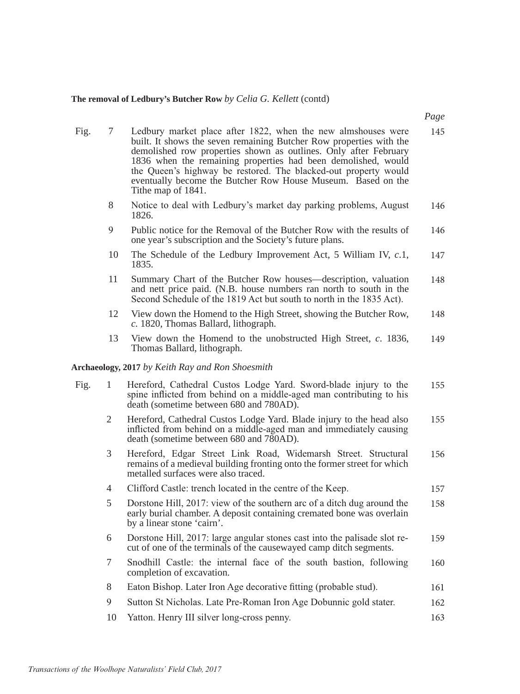## **The removal of Ledbury's Butcher Row** *by Celia G. Kellett* (contd)

| Fig. | 7              | Ledbury market place after 1822, when the new almshouses were<br>built. It shows the seven remaining Butcher Row properties with the<br>demolished row properties shown as outlines. Only after February<br>1836 when the remaining properties had been demolished, would<br>the Queen's highway be restored. The blacked-out property would<br>eventually become the Butcher Row House Museum. Based on the<br>Tithe map of 1841. | 145 |
|------|----------------|------------------------------------------------------------------------------------------------------------------------------------------------------------------------------------------------------------------------------------------------------------------------------------------------------------------------------------------------------------------------------------------------------------------------------------|-----|
|      | 8              | Notice to deal with Ledbury's market day parking problems, August<br>1826.                                                                                                                                                                                                                                                                                                                                                         | 146 |
|      | 9              | Public notice for the Removal of the Butcher Row with the results of<br>one year's subscription and the Society's future plans.                                                                                                                                                                                                                                                                                                    | 146 |
|      | 10             | The Schedule of the Ledbury Improvement Act, 5 William IV, c.1,<br>1835.                                                                                                                                                                                                                                                                                                                                                           | 147 |
|      | 11             | Summary Chart of the Butcher Row houses-description, valuation<br>and nett price paid. (N.B. house numbers ran north to south in the<br>Second Schedule of the 1819 Act but south to north in the 1835 Act).                                                                                                                                                                                                                       | 148 |
|      | 12             | View down the Homend to the High Street, showing the Butcher Row,<br>c. 1820, Thomas Ballard, lithograph.                                                                                                                                                                                                                                                                                                                          | 148 |
|      | 13             | View down the Homend to the unobstructed High Street, $c.$ 1836,<br>Thomas Ballard, lithograph.                                                                                                                                                                                                                                                                                                                                    | 149 |
|      |                | Archaeology, 2017 by Keith Ray and Ron Shoesmith                                                                                                                                                                                                                                                                                                                                                                                   |     |
| Fig. | 1              | Hereford, Cathedral Custos Lodge Yard. Sword-blade injury to the<br>spine inflicted from behind on a middle-aged man contributing to his<br>death (sometime between 680 and 780AD).                                                                                                                                                                                                                                                | 155 |
|      | 2              | Hereford, Cathedral Custos Lodge Yard. Blade injury to the head also<br>inflicted from behind on a middle-aged man and immediately causing<br>death (sometime between 680 and 780AD).                                                                                                                                                                                                                                              | 155 |
|      | 3              | Hereford, Edgar Street Link Road, Widemarsh Street. Structural<br>remains of a medieval building fronting onto the former street for which<br>metalled surfaces were also traced.                                                                                                                                                                                                                                                  | 156 |
|      | $\overline{4}$ | Clifford Castle: trench located in the centre of the Keep.                                                                                                                                                                                                                                                                                                                                                                         | 157 |
|      | 5              | Dorstone Hill, 2017: view of the southern arc of a ditch dug around the<br>early burial chamber. A deposit containing cremated bone was overlain<br>by a linear stone 'cairn'.                                                                                                                                                                                                                                                     | 158 |
|      | 6              | Dorstone Hill, 2017: large angular stones cast into the palisade slot re-<br>cut of one of the terminals of the causewayed camp ditch segments.                                                                                                                                                                                                                                                                                    | 159 |
|      | 7              | Snodhill Castle: the internal face of the south bastion, following<br>completion of excavation.                                                                                                                                                                                                                                                                                                                                    | 160 |
|      | 8              | Eaton Bishop. Later Iron Age decorative fitting (probable stud).                                                                                                                                                                                                                                                                                                                                                                   | 161 |
|      | 9              | Sutton St Nicholas. Late Pre-Roman Iron Age Dobunnic gold stater.                                                                                                                                                                                                                                                                                                                                                                  | 162 |
|      | 10             | Yatton. Henry III silver long-cross penny.                                                                                                                                                                                                                                                                                                                                                                                         | 163 |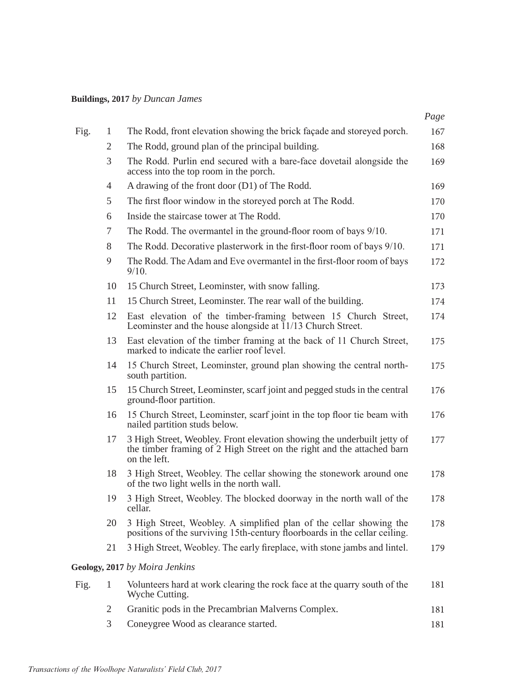## **Buildings, 2017** *by Duncan James*

|      |                |                                                                                                                                                                   | Page |
|------|----------------|-------------------------------------------------------------------------------------------------------------------------------------------------------------------|------|
| Fig. | 1              | The Rodd, front elevation showing the brick façade and storeyed porch.                                                                                            | 167  |
|      | $\mathbf{2}$   | The Rodd, ground plan of the principal building.                                                                                                                  | 168  |
|      | 3              | The Rodd. Purlin end secured with a bare-face dovetail alongside the<br>access into the top room in the porch.                                                    | 169  |
|      | $\overline{4}$ | A drawing of the front door (D1) of The Rodd.                                                                                                                     | 169  |
|      | 5              | The first floor window in the storeyed porch at The Rodd.                                                                                                         | 170  |
|      | 6              | Inside the staircase tower at The Rodd.                                                                                                                           | 170  |
|      | 7              | The Rodd. The overmantel in the ground-floor room of bays 9/10.                                                                                                   | 171  |
|      | 8              | The Rodd. Decorative plasterwork in the first-floor room of bays 9/10.                                                                                            | 171  |
|      | 9              | The Rodd. The Adam and Eve overmantel in the first-floor room of bays<br>9/10.                                                                                    | 172  |
|      | 10             | 15 Church Street, Leominster, with snow falling.                                                                                                                  | 173  |
|      | 11             | 15 Church Street, Leominster. The rear wall of the building.                                                                                                      | 174  |
|      | 12             | East elevation of the timber-framing between 15 Church Street,<br>Leominster and the house alongside at 11/13 Church Street.                                      | 174  |
|      | 13             | East elevation of the timber framing at the back of 11 Church Street,<br>marked to indicate the earlier roof level.                                               | 175  |
|      | 14             | 15 Church Street, Leominster, ground plan showing the central north-<br>south partition.                                                                          | 175  |
|      | 15             | 15 Church Street, Leominster, scarf joint and pegged studs in the central<br>ground-floor partition.                                                              | 176  |
|      | 16             | 15 Church Street, Leominster, scarf joint in the top floor tie beam with<br>nailed partition studs below.                                                         | 176  |
|      | 17             | 3 High Street, Weobley. Front elevation showing the underbuilt jetty of<br>the timber framing of 2 High Street on the right and the attached barn<br>on the left. | 177  |
|      | 18             | 3 High Street, Weobley. The cellar showing the stonework around one<br>of the two light wells in the north wall.                                                  | 178  |
|      | 19             | 3 High Street, Weobley. The blocked doorway in the north wall of the<br>cellar.                                                                                   | 178  |
|      | 20             | 3 High Street, Weobley. A simplified plan of the cellar showing the<br>positions of the surviving 15th-century floorboards in the cellar ceiling.                 | 178  |
|      | 21             | 3 High Street, Weobley. The early fireplace, with stone jambs and lintel.                                                                                         | 179  |
|      |                | Geology, 2017 by Moira Jenkins                                                                                                                                    |      |
| Fig. | 1              | Volunteers hard at work clearing the rock face at the quarry south of the<br>Wyche Cutting.                                                                       | 181  |
|      | 2              | Granitic pods in the Precambrian Malverns Complex.                                                                                                                | 181  |
|      | 3              | Coneygree Wood as clearance started.                                                                                                                              | 181  |